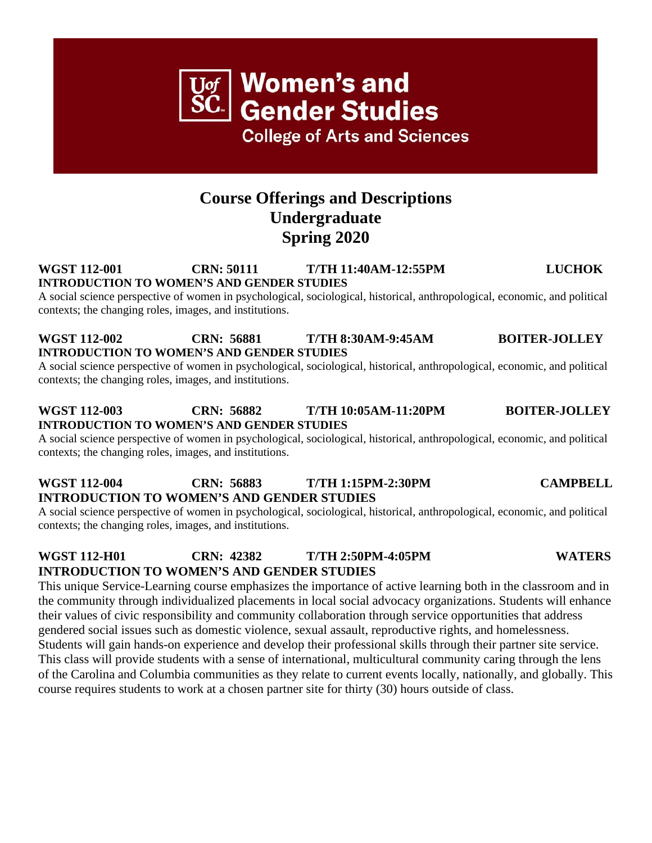## **Course Offerings and Descriptions Undergraduate Spring 2020**

### **WGST 112-001 CRN: 50111 T/TH 11:40AM-12:55PM LUCHOK INTRODUCTION TO WOMEN'S AND GENDER STUDIES**

A social science perspective of women in psychological, sociological, historical, anthropological, economic, and political contexts; the changing roles, images, and institutions.

## **WGST 112-002 CRN: 56881 T/TH 8:30AM-9:45AM BOITER-JOLLEY INTRODUCTION TO WOMEN'S AND GENDER STUDIES**

A social science perspective of women in psychological, sociological, historical, anthropological, economic, and political contexts; the changing roles, images, and institutions.

## **WGST 112-003 CRN: 56882 T/TH 10:05AM-11:20PM BOITER-JOLLEY INTRODUCTION TO WOMEN'S AND GENDER STUDIES**

A social science perspective of women in psychological, sociological, historical, anthropological, economic, and political contexts; the changing roles, images, and institutions.

## **WGST 112-004 CRN: 56883 T/TH 1:15PM-2:30PM CAMPBELL INTRODUCTION TO WOMEN'S AND GENDER STUDIES**

A social science perspective of women in psychological, sociological, historical, anthropological, economic, and political contexts; the changing roles, images, and institutions.

## **WGST 112-H01 CRN: 42382 T/TH 2:50PM-4:05PM WATERS INTRODUCTION TO WOMEN'S AND GENDER STUDIES**

This unique Service-Learning course emphasizes the importance of active learning both in the classroom and in the community through individualized placements in local social advocacy organizations. Students will enhance their values of civic responsibility and community collaboration through service opportunities that address gendered social issues such as domestic violence, sexual assault, reproductive rights, and homelessness. Students will gain hands-on experience and develop their professional skills through their partner site service. This class will provide students with a sense of international, multicultural community caring through the lens of the Carolina and Columbia communities as they relate to current events locally, nationally, and globally. This course requires students to work at a chosen partner site for thirty (30) hours outside of class.

**Women's and Gender Studies College of Arts and Sciences**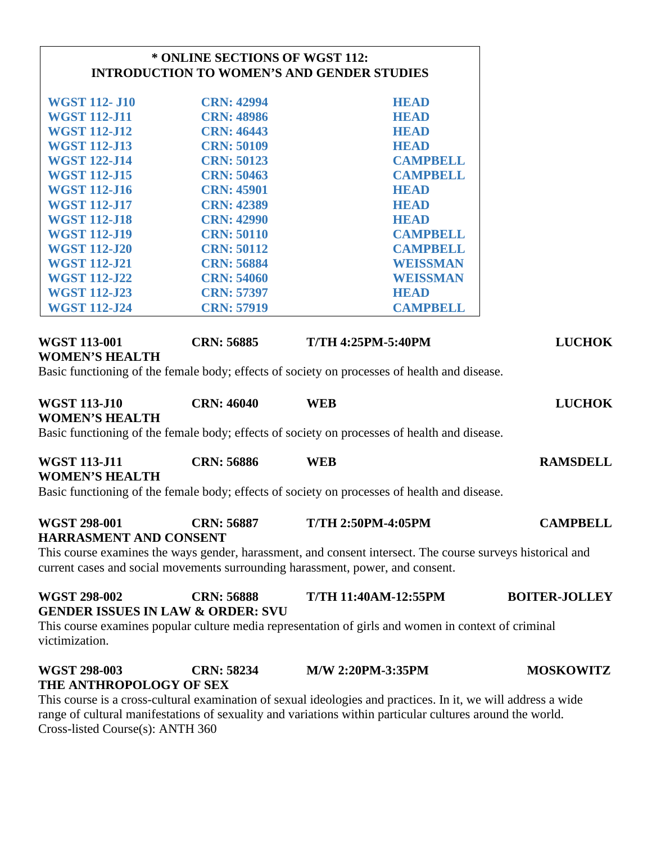|                                                      | * ONLINE SECTIONS OF WGST 112:                                    | <b>INTRODUCTION TO WOMEN'S AND GENDER STUDIES</b>                                                                                                                                            |                      |
|------------------------------------------------------|-------------------------------------------------------------------|----------------------------------------------------------------------------------------------------------------------------------------------------------------------------------------------|----------------------|
| <b>WGST 112-J10</b>                                  | <b>CRN: 42994</b>                                                 | <b>HEAD</b>                                                                                                                                                                                  |                      |
| <b>WGST 112-J11</b>                                  | <b>CRN: 48986</b>                                                 | <b>HEAD</b>                                                                                                                                                                                  |                      |
| <b>WGST 112-J12</b>                                  | <b>CRN: 46443</b>                                                 | <b>HEAD</b>                                                                                                                                                                                  |                      |
| <b>WGST 112-J13</b>                                  | <b>CRN: 50109</b>                                                 | <b>HEAD</b>                                                                                                                                                                                  |                      |
| <b>WGST 122-J14</b>                                  | <b>CRN: 50123</b>                                                 | <b>CAMPBELL</b>                                                                                                                                                                              |                      |
| <b>WGST 112-J15</b>                                  | <b>CRN: 50463</b>                                                 | <b>CAMPBELL</b>                                                                                                                                                                              |                      |
| <b>WGST 112-J16</b>                                  | <b>CRN: 45901</b>                                                 | <b>HEAD</b>                                                                                                                                                                                  |                      |
| <b>WGST 112-J17</b>                                  | <b>CRN: 42389</b>                                                 | <b>HEAD</b>                                                                                                                                                                                  |                      |
| <b>WGST 112-J18</b>                                  | <b>CRN: 42990</b>                                                 | <b>HEAD</b>                                                                                                                                                                                  |                      |
| <b>WGST 112-J19</b>                                  | <b>CRN: 50110</b>                                                 | <b>CAMPBELL</b>                                                                                                                                                                              |                      |
| <b>WGST 112-J20</b>                                  | <b>CRN: 50112</b>                                                 | <b>CAMPBELL</b>                                                                                                                                                                              |                      |
| <b>WGST 112-J21</b>                                  | <b>CRN: 56884</b>                                                 | <b>WEISSMAN</b>                                                                                                                                                                              |                      |
| <b>WGST 112-J22</b>                                  | <b>CRN: 54060</b>                                                 | <b>WEISSMAN</b>                                                                                                                                                                              |                      |
| <b>WGST 112-J23</b>                                  | <b>CRN: 57397</b>                                                 | <b>HEAD</b>                                                                                                                                                                                  |                      |
| <b>WGST 112-J24</b>                                  | <b>CRN: 57919</b>                                                 | <b>CAMPBELL</b>                                                                                                                                                                              |                      |
| <b>WGST 113-001</b><br><b>WOMEN'S HEALTH</b>         | <b>CRN: 56885</b>                                                 | <b>T/TH 4:25PM-5:40PM</b><br>Basic functioning of the female body; effects of society on processes of health and disease.                                                                    | <b>LUCHOK</b>        |
| <b>WGST 113-J10</b><br><b>WOMEN'S HEALTH</b>         | <b>CRN: 46040</b>                                                 | <b>WEB</b><br>Basic functioning of the female body; effects of society on processes of health and disease.                                                                                   | <b>LUCHOK</b>        |
| <b>WGST 113-J11</b>                                  | <b>CRN: 56886</b>                                                 | <b>WEB</b>                                                                                                                                                                                   | <b>RAMSDELL</b>      |
| <b>WOMEN'S HEALTH</b>                                |                                                                   | Basic functioning of the female body; effects of society on processes of health and disease.                                                                                                 |                      |
| <b>WGST 298-001</b><br><b>HARRASMENT AND CONSENT</b> | <b>CRN: 56887</b>                                                 | <b>T/TH 2:50PM-4:05PM</b>                                                                                                                                                                    | <b>CAMPBELL</b>      |
|                                                      |                                                                   | This course examines the ways gender, harassment, and consent intersect. The course surveys historical and<br>current cases and social movements surrounding harassment, power, and consent. |                      |
| <b>WGST 298-002</b>                                  | <b>CRN: 56888</b><br><b>GENDER ISSUES IN LAW &amp; ORDER: SVU</b> | <b>T/TH 11:40AM-12:55PM</b>                                                                                                                                                                  | <b>BOITER-JOLLEY</b> |
| victimization.                                       |                                                                   | This course examines popular culture media representation of girls and women in context of criminal                                                                                          |                      |
| <b>WGST 298-003</b><br>THE ANTHROPOLOGY OF SEX       | <b>CRN: 58234</b>                                                 | M/W 2:20PM-3:35PM                                                                                                                                                                            | <b>MOSKOWITZ</b>     |
|                                                      |                                                                   | This course is a cross-cultural examination of sexual ideologies and practices. In it, we will address a wide                                                                                |                      |

This course is a cross-cultural examination of sexual ideologies and practices. In it, we will address a wide range of cultural manifestations of sexuality and variations within particular cultures around the world. Cross-listed Course(s): ANTH 360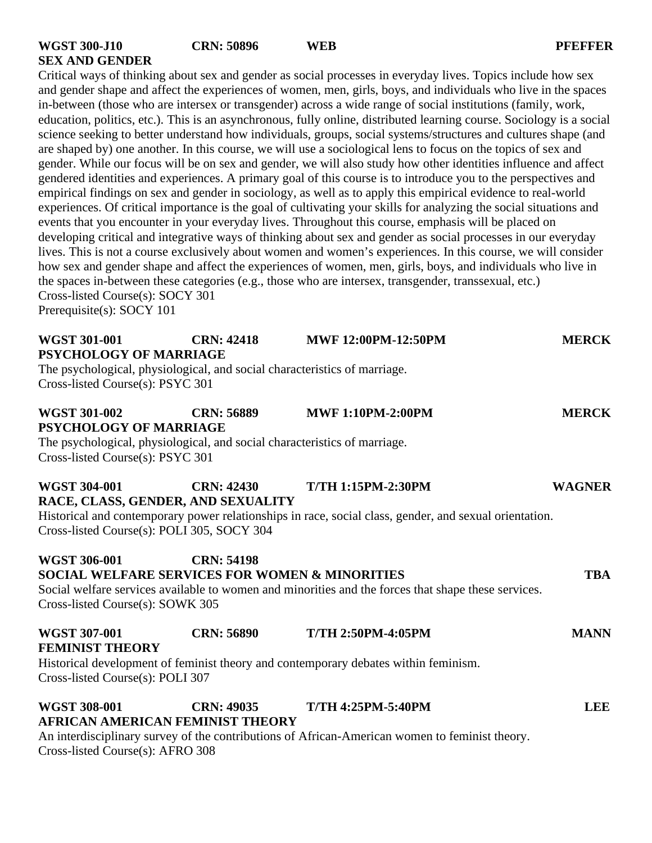Critical ways of thinking about sex and gender as social processes in everyday lives. Topics include how sex and gender shape and affect the experiences of women, men, girls, boys, and individuals who live in the spaces in-between (those who are intersex or transgender) across a wide range of social institutions (family, work, education, politics, etc.). This is an asynchronous, fully online, distributed learning course. Sociology is a social science seeking to better understand how individuals, groups, social systems/structures and cultures shape (and are shaped by) one another. In this course, we will use a sociological lens to focus on the topics of sex and gender. While our focus will be on sex and gender, we will also study how other identities influence and affect gendered identities and experiences. A primary goal of this course is to introduce you to the perspectives and empirical findings on sex and gender in sociology, as well as to apply this empirical evidence to real-world experiences. Of critical importance is the goal of cultivating your skills for analyzing the social situations and events that you encounter in your everyday lives. Throughout this course, emphasis will be placed on developing critical and integrative ways of thinking about sex and gender as social processes in our everyday lives. This is not a course exclusively about women and women's experiences. In this course, we will consider how sex and gender shape and affect the experiences of women, men, girls, boys, and individuals who live in the spaces in-between these categories (e.g., those who are intersex, transgender, transsexual, etc.) Cross-listed Course(s): SOCY 301 Prerequisite(s): SOCY 101

| <b>WGST 301-001</b>                                                       | <b>CRN: 42418</b>                                                         | <b>MWF 12:00PM-12:50PM</b>                                                                             | <b>MERCK</b>  |  |  |
|---------------------------------------------------------------------------|---------------------------------------------------------------------------|--------------------------------------------------------------------------------------------------------|---------------|--|--|
| <b>PSYCHOLOGY OF MARRIAGE</b>                                             |                                                                           |                                                                                                        |               |  |  |
|                                                                           | The psychological, physiological, and social characteristics of marriage. |                                                                                                        |               |  |  |
| Cross-listed Course(s): PSYC 301                                          |                                                                           |                                                                                                        |               |  |  |
|                                                                           |                                                                           |                                                                                                        |               |  |  |
| <b>WGST 301-002</b>                                                       | <b>CRN: 56889</b>                                                         | <b>MWF 1:10PM-2:00PM</b>                                                                               | <b>MERCK</b>  |  |  |
| <b>PSYCHOLOGY OF MARRIAGE</b>                                             |                                                                           |                                                                                                        |               |  |  |
| The psychological, physiological, and social characteristics of marriage. |                                                                           |                                                                                                        |               |  |  |
| Cross-listed Course(s): PSYC 301                                          |                                                                           |                                                                                                        |               |  |  |
| <b>WGST 304-001</b>                                                       | <b>CRN: 42430</b>                                                         | <b>T/TH 1:15PM-2:30PM</b>                                                                              | <b>WAGNER</b> |  |  |
|                                                                           | RACE, CLASS, GENDER, AND SEXUALITY                                        |                                                                                                        |               |  |  |
|                                                                           |                                                                           | Historical and contemporary power relationships in race, social class, gender, and sexual orientation. |               |  |  |

Cross-listed Course(s): POLI 305, SOCY 304

### **WGST 306-001 CRN: 54198 SOCIAL WELFARE SERVICES FOR WOMEN & MINORITIES TBA**

Social welfare services available to women and minorities and the forces that shape these services. Cross-listed Course(s): SOWK 305

| <b>WGST 307-001</b>    | CRN: 56890 | <b>T/TH 2:50PM-4:05PM</b> | <b>MANN</b> |
|------------------------|------------|---------------------------|-------------|
| <b>FEMINIST THEORY</b> |            |                           |             |

Historical development of feminist theory and contemporary debates within feminism. Cross-listed Course(s): POLI 307

### **WGST 308-001 CRN: 49035 T/TH 4:25PM-5:40PM LEE AFRICAN AMERICAN FEMINIST THEORY**

An interdisciplinary survey of the contributions of African-American women to feminist theory. Cross-listed Course(s): AFRO 308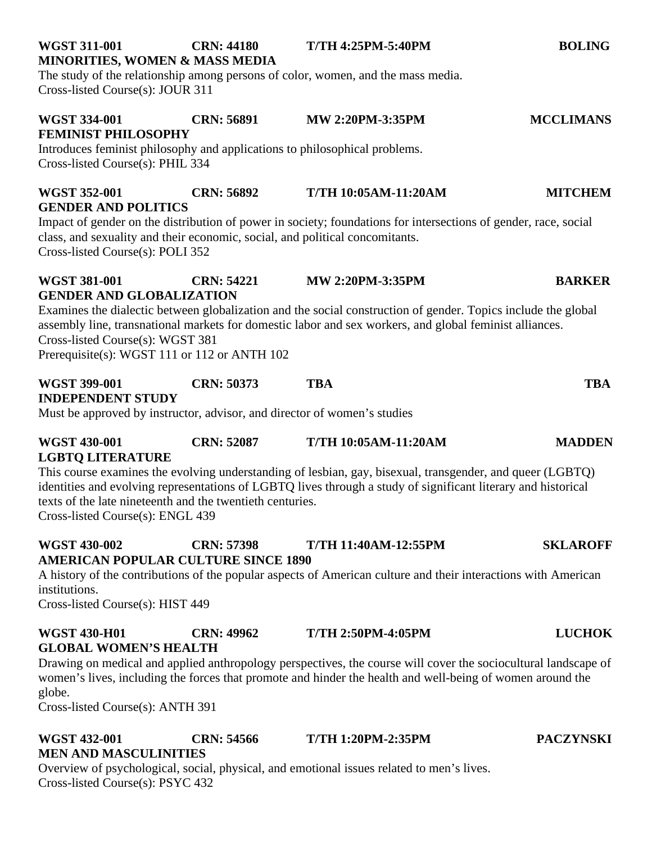| <b>WGST 311-001</b> | <b>CRN: 44180</b>                         | <b>T/TH 4:25PM-5:40PM</b>                                                     | <b>BOLING</b> |
|---------------------|-------------------------------------------|-------------------------------------------------------------------------------|---------------|
|                     | <b>MINORITIES, WOMEN &amp; MASS MEDIA</b> |                                                                               |               |
|                     |                                           | The study of the relationship among persons of color women and the mass media |               |

The study of the relationship among persons of color, women, and the mass media. Cross-listed Course(s): JOUR 311

## **WGST 334-001 CRN: 56891 MW 2:20PM-3:35PM MCCLIMANS FEMINIST PHILOSOPHY**

Introduces feminist philosophy and applications to philosophical problems. Cross-listed Course(s): PHIL 334

## **WGST 352-001 CRN: 56892 T/TH 10:05AM-11:20AM MITCHEM GENDER AND POLITICS**

Impact of gender on the distribution of power in society; foundations for intersections of gender, race, social class, and sexuality and their economic, social, and political concomitants. Cross-listed Course(s): POLI 352

## **WGST 381-001 CRN: 54221 MW 2:20PM-3:35PM BARKER GENDER AND GLOBALIZATION**

Examines the dialectic between globalization and the social construction of gender. Topics include the global assembly line, transnational markets for domestic labor and sex workers, and global feminist alliances. Cross-listed Course(s): WGST 381 Prerequisite(s): WGST 111 or 112 or ANTH 102

## **WGST 399-001 CRN: 50373 TBA TBA**

**INDEPENDENT STUDY**

Must be approved by instructor, advisor, and director of women's studies

## **WGST 430-001 CRN: 52087 T/TH 10:05AM-11:20AM MADDEN LGBTQ LITERATURE**

This course examines the evolving understanding of lesbian, gay, bisexual, transgender, and queer (LGBTQ) identities and evolving representations of LGBTQ lives through a study of significant literary and historical texts of the late nineteenth and the twentieth centuries. Cross-listed Course(s): ENGL 439

**WGST 430-002 CRN: 57398 T/TH 11:40AM-12:55PM SKLAROFF**

## **AMERICAN POPULAR CULTURE SINCE 1890**

A history of the contributions of the popular aspects of American culture and their interactions with American institutions.

Cross-listed Course(s): HIST 449

## **WGST 430-H01 CRN: 49962 T/TH 2:50PM-4:05PM LUCHOK GLOBAL WOMEN'S HEALTH**

Drawing on medical and applied anthropology perspectives, the course will cover the sociocultural landscape of women's lives, including the forces that promote and hinder the health and well-being of women around the globe.

Cross-listed Course(s): ANTH 391

## **WGST 432-001 CRN: 54566 T/TH 1:20PM-2:35PM PACZYNSKI MEN AND MASCULINITIES**

Overview of psychological, social, physical, and emotional issues related to men's lives. Cross-listed Course(s): PSYC 432